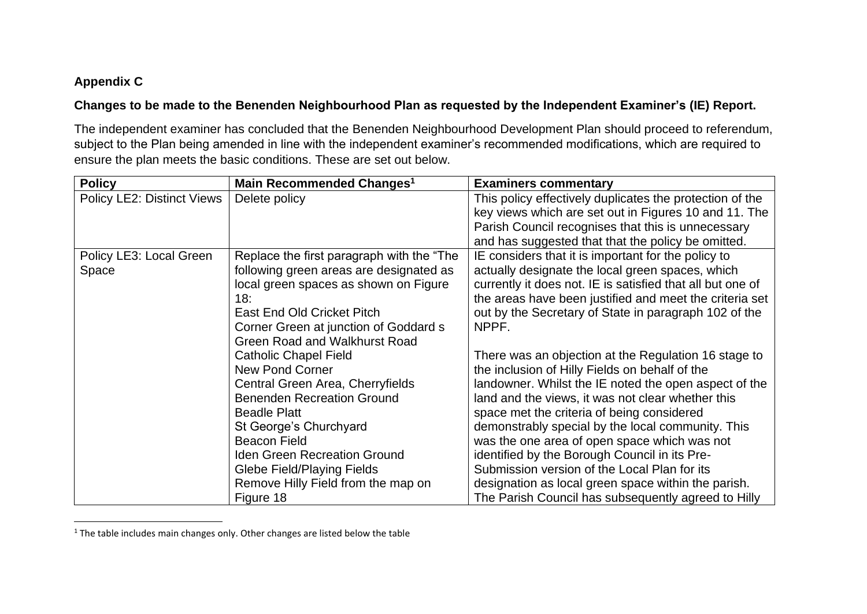## **Appendix C**

# **Changes to be made to the Benenden Neighbourhood Plan as requested by the Independent Examiner's (IE) Report.**

The independent examiner has concluded that the Benenden Neighbourhood Development Plan should proceed to referendum, subject to the Plan being amended in line with the independent examiner's recommended modifications, which are required to ensure the plan meets the basic conditions. These are set out below.

| <b>Policy</b>                     | Main Recommended Changes <sup>1</sup>     | <b>Examiners commentary</b>                                |
|-----------------------------------|-------------------------------------------|------------------------------------------------------------|
| <b>Policy LE2: Distinct Views</b> | Delete policy                             | This policy effectively duplicates the protection of the   |
|                                   |                                           | key views which are set out in Figures 10 and 11. The      |
|                                   |                                           | Parish Council recognises that this is unnecessary         |
|                                   |                                           | and has suggested that that the policy be omitted.         |
| Policy LE3: Local Green           | Replace the first paragraph with the "The | IE considers that it is important for the policy to        |
| Space                             | following green areas are designated as   | actually designate the local green spaces, which           |
|                                   | local green spaces as shown on Figure     | currently it does not. IE is satisfied that all but one of |
|                                   | 18:                                       | the areas have been justified and meet the criteria set    |
|                                   | East End Old Cricket Pitch                | out by the Secretary of State in paragraph 102 of the      |
|                                   | Corner Green at junction of Goddard s     | NPPF.                                                      |
|                                   | <b>Green Road and Walkhurst Road</b>      |                                                            |
|                                   | <b>Catholic Chapel Field</b>              | There was an objection at the Regulation 16 stage to       |
|                                   | <b>New Pond Corner</b>                    | the inclusion of Hilly Fields on behalf of the             |
|                                   | Central Green Area, Cherryfields          | landowner. Whilst the IE noted the open aspect of the      |
|                                   | <b>Benenden Recreation Ground</b>         | land and the views, it was not clear whether this          |
|                                   | <b>Beadle Platt</b>                       | space met the criteria of being considered                 |
|                                   | St George's Churchyard                    | demonstrably special by the local community. This          |
|                                   | <b>Beacon Field</b>                       | was the one area of open space which was not               |
|                                   | <b>Iden Green Recreation Ground</b>       | identified by the Borough Council in its Pre-              |
|                                   | <b>Glebe Field/Playing Fields</b>         | Submission version of the Local Plan for its               |
|                                   | Remove Hilly Field from the map on        | designation as local green space within the parish.        |
|                                   | Figure 18                                 | The Parish Council has subsequently agreed to Hilly        |

 $1$  The table includes main changes only. Other changes are listed below the table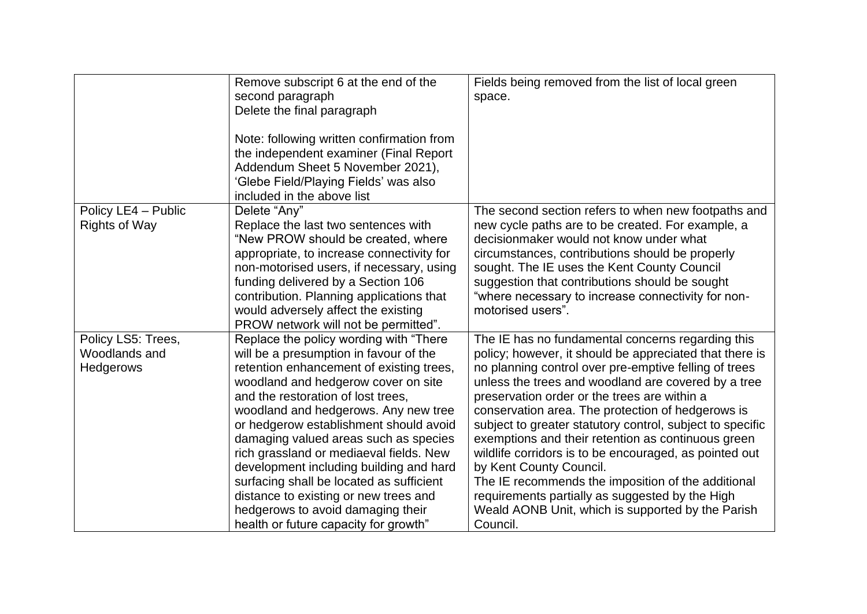|                                                         | Remove subscript 6 at the end of the<br>second paragraph<br>Delete the final paragraph<br>Note: following written confirmation from<br>the independent examiner (Final Report<br>Addendum Sheet 5 November 2021),<br>'Glebe Field/Playing Fields' was also<br>included in the above list                                                                                                                                                                                                                                                                                                       | Fields being removed from the list of local green<br>space.                                                                                                                                                                                                                                                                                                                                                                                                                                                                                                                                                                                                                                                         |
|---------------------------------------------------------|------------------------------------------------------------------------------------------------------------------------------------------------------------------------------------------------------------------------------------------------------------------------------------------------------------------------------------------------------------------------------------------------------------------------------------------------------------------------------------------------------------------------------------------------------------------------------------------------|---------------------------------------------------------------------------------------------------------------------------------------------------------------------------------------------------------------------------------------------------------------------------------------------------------------------------------------------------------------------------------------------------------------------------------------------------------------------------------------------------------------------------------------------------------------------------------------------------------------------------------------------------------------------------------------------------------------------|
| Policy LE4 - Public<br><b>Rights of Way</b>             | Delete "Any"<br>Replace the last two sentences with<br>"New PROW should be created, where<br>appropriate, to increase connectivity for<br>non-motorised users, if necessary, using<br>funding delivered by a Section 106<br>contribution. Planning applications that<br>would adversely affect the existing<br>PROW network will not be permitted".                                                                                                                                                                                                                                            | The second section refers to when new footpaths and<br>new cycle paths are to be created. For example, a<br>decisionmaker would not know under what<br>circumstances, contributions should be properly<br>sought. The IE uses the Kent County Council<br>suggestion that contributions should be sought<br>"where necessary to increase connectivity for non-<br>motorised users".                                                                                                                                                                                                                                                                                                                                  |
| Policy LS5: Trees,<br>Woodlands and<br><b>Hedgerows</b> | Replace the policy wording with "There"<br>will be a presumption in favour of the<br>retention enhancement of existing trees,<br>woodland and hedgerow cover on site<br>and the restoration of lost trees,<br>woodland and hedgerows. Any new tree<br>or hedgerow establishment should avoid<br>damaging valued areas such as species<br>rich grassland or mediaeval fields. New<br>development including building and hard<br>surfacing shall be located as sufficient<br>distance to existing or new trees and<br>hedgerows to avoid damaging their<br>health or future capacity for growth" | The IE has no fundamental concerns regarding this<br>policy; however, it should be appreciated that there is<br>no planning control over pre-emptive felling of trees<br>unless the trees and woodland are covered by a tree<br>preservation order or the trees are within a<br>conservation area. The protection of hedgerows is<br>subject to greater statutory control, subject to specific<br>exemptions and their retention as continuous green<br>wildlife corridors is to be encouraged, as pointed out<br>by Kent County Council.<br>The IE recommends the imposition of the additional<br>requirements partially as suggested by the High<br>Weald AONB Unit, which is supported by the Parish<br>Council. |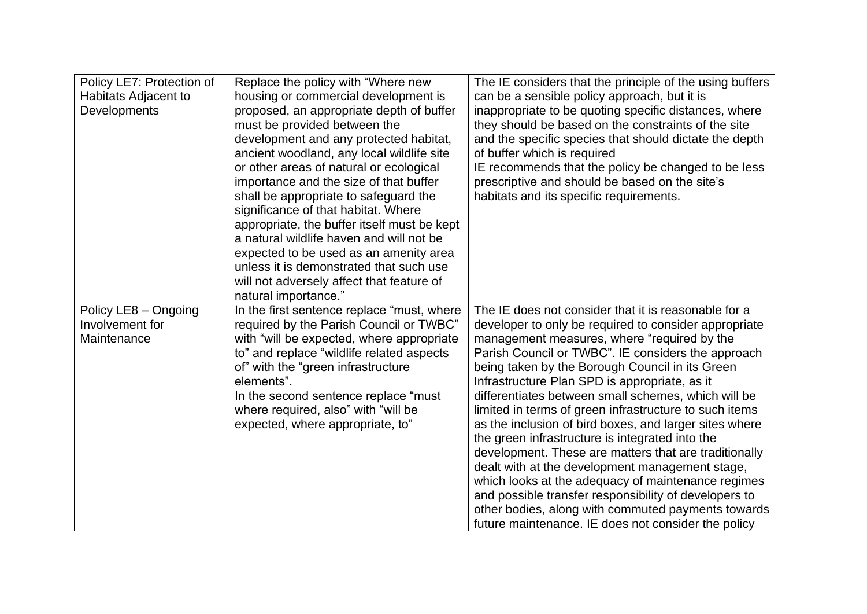| Policy LE7: Protection of<br>Habitats Adjacent to<br>Developments | Replace the policy with "Where new<br>housing or commercial development is<br>proposed, an appropriate depth of buffer<br>must be provided between the<br>development and any protected habitat,<br>ancient woodland, any local wildlife site<br>or other areas of natural or ecological<br>importance and the size of that buffer<br>shall be appropriate to safeguard the<br>significance of that habitat. Where<br>appropriate, the buffer itself must be kept<br>a natural wildlife haven and will not be<br>expected to be used as an amenity area | The IE considers that the principle of the using buffers<br>can be a sensible policy approach, but it is<br>inappropriate to be quoting specific distances, where<br>they should be based on the constraints of the site<br>and the specific species that should dictate the depth<br>of buffer which is required<br>IE recommends that the policy be changed to be less<br>prescriptive and should be based on the site's<br>habitats and its specific requirements.                                                                                                                                                                                                                                                                                                                                                                                                                        |
|-------------------------------------------------------------------|---------------------------------------------------------------------------------------------------------------------------------------------------------------------------------------------------------------------------------------------------------------------------------------------------------------------------------------------------------------------------------------------------------------------------------------------------------------------------------------------------------------------------------------------------------|----------------------------------------------------------------------------------------------------------------------------------------------------------------------------------------------------------------------------------------------------------------------------------------------------------------------------------------------------------------------------------------------------------------------------------------------------------------------------------------------------------------------------------------------------------------------------------------------------------------------------------------------------------------------------------------------------------------------------------------------------------------------------------------------------------------------------------------------------------------------------------------------|
|                                                                   | unless it is demonstrated that such use<br>will not adversely affect that feature of<br>natural importance."                                                                                                                                                                                                                                                                                                                                                                                                                                            |                                                                                                                                                                                                                                                                                                                                                                                                                                                                                                                                                                                                                                                                                                                                                                                                                                                                                              |
| Policy LE8 - Ongoing<br>Involvement for<br>Maintenance            | In the first sentence replace "must, where<br>required by the Parish Council or TWBC"<br>with "will be expected, where appropriate<br>to" and replace "wildlife related aspects<br>of" with the "green infrastructure<br>elements".<br>In the second sentence replace "must<br>where required, also" with "will be<br>expected, where appropriate, to"                                                                                                                                                                                                  | The IE does not consider that it is reasonable for a<br>developer to only be required to consider appropriate<br>management measures, where "required by the<br>Parish Council or TWBC". IE considers the approach<br>being taken by the Borough Council in its Green<br>Infrastructure Plan SPD is appropriate, as it<br>differentiates between small schemes, which will be<br>limited in terms of green infrastructure to such items<br>as the inclusion of bird boxes, and larger sites where<br>the green infrastructure is integrated into the<br>development. These are matters that are traditionally<br>dealt with at the development management stage,<br>which looks at the adequacy of maintenance regimes<br>and possible transfer responsibility of developers to<br>other bodies, along with commuted payments towards<br>future maintenance. IE does not consider the policy |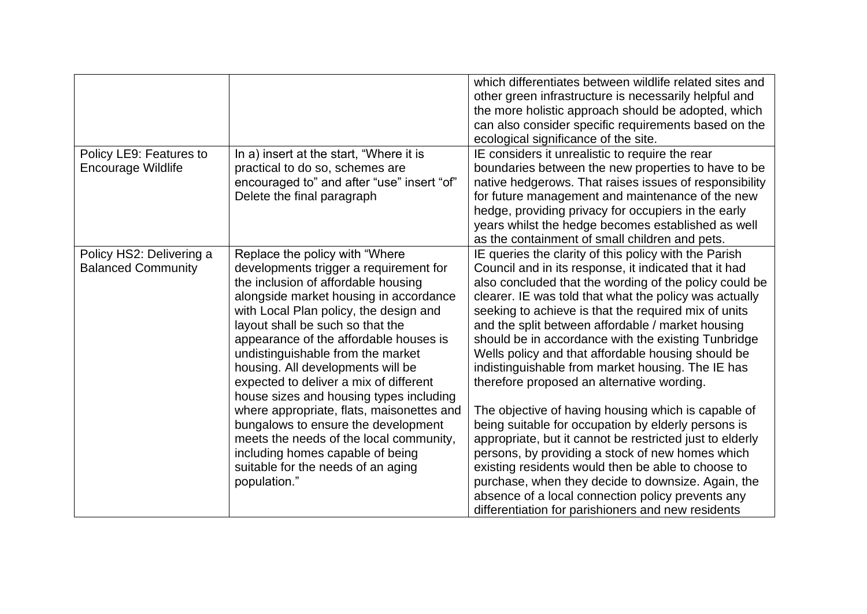|                           |                                                                                | which differentiates between wildlife related sites and<br>other green infrastructure is necessarily helpful and<br>the more holistic approach should be adopted, which<br>can also consider specific requirements based on the<br>ecological significance of the site. |
|---------------------------|--------------------------------------------------------------------------------|-------------------------------------------------------------------------------------------------------------------------------------------------------------------------------------------------------------------------------------------------------------------------|
| Policy LE9: Features to   | In a) insert at the start, "Where it is                                        | IE considers it unrealistic to require the rear                                                                                                                                                                                                                         |
| <b>Encourage Wildlife</b> | practical to do so, schemes are                                                | boundaries between the new properties to have to be                                                                                                                                                                                                                     |
|                           | encouraged to" and after "use" insert "of"                                     | native hedgerows. That raises issues of responsibility                                                                                                                                                                                                                  |
|                           | Delete the final paragraph                                                     | for future management and maintenance of the new                                                                                                                                                                                                                        |
|                           |                                                                                | hedge, providing privacy for occupiers in the early<br>years whilst the hedge becomes established as well                                                                                                                                                               |
|                           |                                                                                | as the containment of small children and pets.                                                                                                                                                                                                                          |
| Policy HS2: Delivering a  | Replace the policy with "Where"                                                | IE queries the clarity of this policy with the Parish                                                                                                                                                                                                                   |
| <b>Balanced Community</b> | developments trigger a requirement for                                         | Council and in its response, it indicated that it had                                                                                                                                                                                                                   |
|                           | the inclusion of affordable housing                                            | also concluded that the wording of the policy could be                                                                                                                                                                                                                  |
|                           | alongside market housing in accordance                                         | clearer. IE was told that what the policy was actually                                                                                                                                                                                                                  |
|                           | with Local Plan policy, the design and                                         | seeking to achieve is that the required mix of units                                                                                                                                                                                                                    |
|                           | layout shall be such so that the                                               | and the split between affordable / market housing                                                                                                                                                                                                                       |
|                           | appearance of the affordable houses is                                         | should be in accordance with the existing Tunbridge                                                                                                                                                                                                                     |
|                           | undistinguishable from the market                                              | Wells policy and that affordable housing should be                                                                                                                                                                                                                      |
|                           | housing. All developments will be                                              | indistinguishable from market housing. The IE has                                                                                                                                                                                                                       |
|                           | expected to deliver a mix of different                                         | therefore proposed an alternative wording.                                                                                                                                                                                                                              |
|                           | house sizes and housing types including                                        |                                                                                                                                                                                                                                                                         |
|                           | where appropriate, flats, maisonettes and                                      | The objective of having housing which is capable of                                                                                                                                                                                                                     |
|                           | bungalows to ensure the development<br>meets the needs of the local community, | being suitable for occupation by elderly persons is<br>appropriate, but it cannot be restricted just to elderly                                                                                                                                                         |
|                           | including homes capable of being                                               | persons, by providing a stock of new homes which                                                                                                                                                                                                                        |
|                           | suitable for the needs of an aging                                             | existing residents would then be able to choose to                                                                                                                                                                                                                      |
|                           | population."                                                                   | purchase, when they decide to downsize. Again, the                                                                                                                                                                                                                      |
|                           |                                                                                | absence of a local connection policy prevents any                                                                                                                                                                                                                       |
|                           |                                                                                | differentiation for parishioners and new residents                                                                                                                                                                                                                      |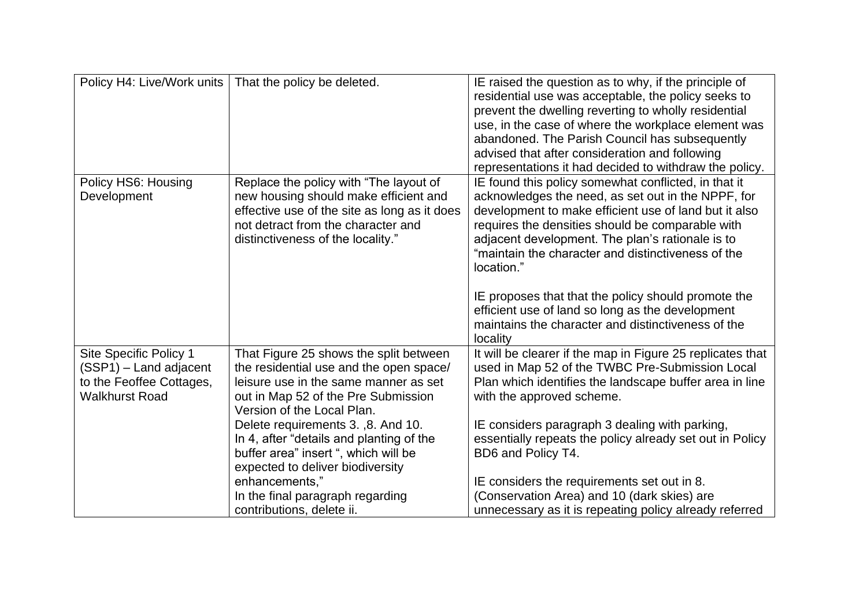| Policy H4: Live/Work units | That the policy be deleted.                                             | IE raised the question as to why, if the principle of<br>residential use was acceptable, the policy seeks to<br>prevent the dwelling reverting to wholly residential<br>use, in the case of where the workplace element was<br>abandoned. The Parish Council has subsequently<br>advised that after consideration and following<br>representations it had decided to withdraw the policy. |
|----------------------------|-------------------------------------------------------------------------|-------------------------------------------------------------------------------------------------------------------------------------------------------------------------------------------------------------------------------------------------------------------------------------------------------------------------------------------------------------------------------------------|
| Policy HS6: Housing        | Replace the policy with "The layout of                                  | IE found this policy somewhat conflicted, in that it                                                                                                                                                                                                                                                                                                                                      |
| Development                | new housing should make efficient and                                   | acknowledges the need, as set out in the NPPF, for                                                                                                                                                                                                                                                                                                                                        |
|                            | effective use of the site as long as it does                            | development to make efficient use of land but it also                                                                                                                                                                                                                                                                                                                                     |
|                            | not detract from the character and<br>distinctiveness of the locality." | requires the densities should be comparable with<br>adjacent development. The plan's rationale is to<br>"maintain the character and distinctiveness of the<br>location."                                                                                                                                                                                                                  |
|                            |                                                                         | IE proposes that that the policy should promote the<br>efficient use of land so long as the development<br>maintains the character and distinctiveness of the<br>locality                                                                                                                                                                                                                 |
| Site Specific Policy 1     | That Figure 25 shows the split between                                  | It will be clearer if the map in Figure 25 replicates that                                                                                                                                                                                                                                                                                                                                |
| $(SSP1)$ – Land adjacent   | the residential use and the open space/                                 | used in Map 52 of the TWBC Pre-Submission Local                                                                                                                                                                                                                                                                                                                                           |
| to the Feoffee Cottages,   | leisure use in the same manner as set                                   | Plan which identifies the landscape buffer area in line                                                                                                                                                                                                                                                                                                                                   |
| <b>Walkhurst Road</b>      | out in Map 52 of the Pre Submission<br>Version of the Local Plan.       | with the approved scheme.                                                                                                                                                                                                                                                                                                                                                                 |
|                            | Delete requirements 3., 8. And 10.                                      | IE considers paragraph 3 dealing with parking,                                                                                                                                                                                                                                                                                                                                            |
|                            | In 4, after "details and planting of the                                | essentially repeats the policy already set out in Policy                                                                                                                                                                                                                                                                                                                                  |
|                            | buffer area" insert ", which will be                                    | BD6 and Policy T4.                                                                                                                                                                                                                                                                                                                                                                        |
|                            | expected to deliver biodiversity                                        |                                                                                                                                                                                                                                                                                                                                                                                           |
|                            | enhancements,"                                                          | IE considers the requirements set out in 8.                                                                                                                                                                                                                                                                                                                                               |
|                            | In the final paragraph regarding                                        | (Conservation Area) and 10 (dark skies) are                                                                                                                                                                                                                                                                                                                                               |
|                            | contributions, delete ii.                                               | unnecessary as it is repeating policy already referred                                                                                                                                                                                                                                                                                                                                    |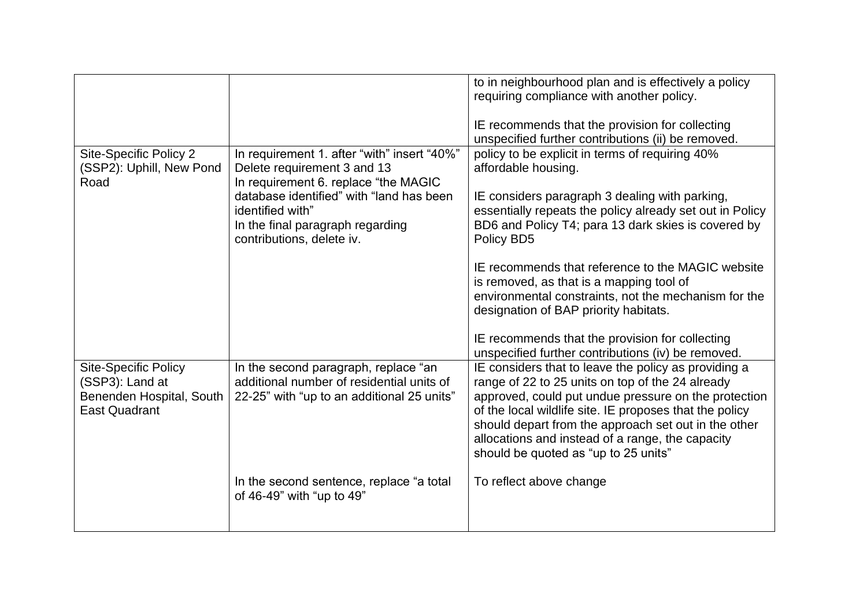|                                                                                                    |                                                                                                                                 | to in neighbourhood plan and is effectively a policy<br>requiring compliance with another policy.<br>IE recommends that the provision for collecting<br>unspecified further contributions (ii) be removed.                                                                                                                                                                      |
|----------------------------------------------------------------------------------------------------|---------------------------------------------------------------------------------------------------------------------------------|---------------------------------------------------------------------------------------------------------------------------------------------------------------------------------------------------------------------------------------------------------------------------------------------------------------------------------------------------------------------------------|
| Site-Specific Policy 2<br>(SSP2): Uphill, New Pond<br>Road                                         | In requirement 1. after "with" insert "40%"<br>Delete requirement 3 and 13<br>In requirement 6. replace "the MAGIC              | policy to be explicit in terms of requiring 40%<br>affordable housing.                                                                                                                                                                                                                                                                                                          |
|                                                                                                    | database identified" with "land has been<br>identified with"<br>In the final paragraph regarding<br>contributions, delete iv.   | IE considers paragraph 3 dealing with parking,<br>essentially repeats the policy already set out in Policy<br>BD6 and Policy T4; para 13 dark skies is covered by<br>Policy BD5                                                                                                                                                                                                 |
|                                                                                                    |                                                                                                                                 | IE recommends that reference to the MAGIC website<br>is removed, as that is a mapping tool of<br>environmental constraints, not the mechanism for the<br>designation of BAP priority habitats.                                                                                                                                                                                  |
|                                                                                                    |                                                                                                                                 | IE recommends that the provision for collecting<br>unspecified further contributions (iv) be removed.                                                                                                                                                                                                                                                                           |
| <b>Site-Specific Policy</b><br>(SSP3): Land at<br>Benenden Hospital, South<br><b>East Quadrant</b> | In the second paragraph, replace "an<br>additional number of residential units of<br>22-25" with "up to an additional 25 units" | IE considers that to leave the policy as providing a<br>range of 22 to 25 units on top of the 24 already<br>approved, could put undue pressure on the protection<br>of the local wildlife site. IE proposes that the policy<br>should depart from the approach set out in the other<br>allocations and instead of a range, the capacity<br>should be quoted as "up to 25 units" |
|                                                                                                    | In the second sentence, replace "a total<br>of 46-49" with "up to 49"                                                           | To reflect above change                                                                                                                                                                                                                                                                                                                                                         |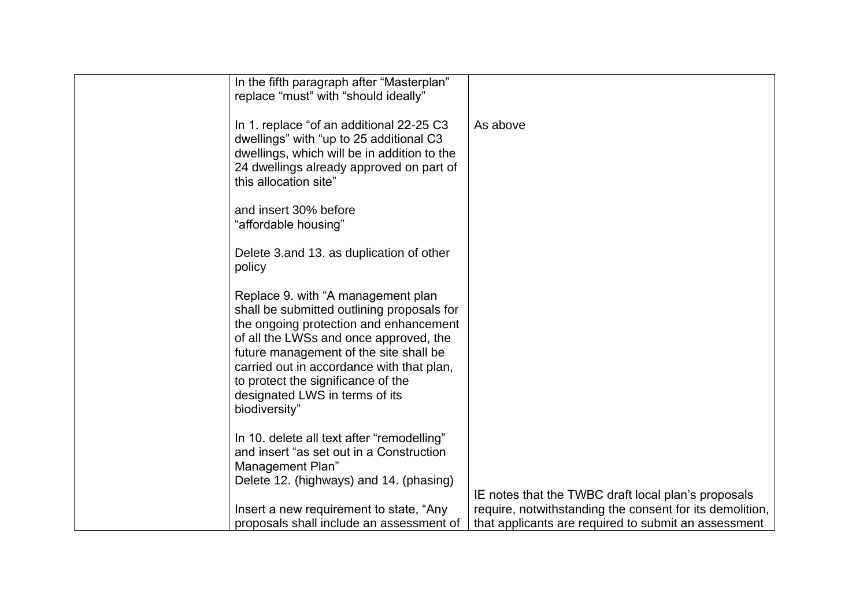| In the fifth paragraph after "Masterplan"<br>replace "must" with "should ideally"                                                                                                                                                                                                                                                                    |                                                                                                                  |
|------------------------------------------------------------------------------------------------------------------------------------------------------------------------------------------------------------------------------------------------------------------------------------------------------------------------------------------------------|------------------------------------------------------------------------------------------------------------------|
| In 1. replace "of an additional 22-25 C3<br>dwellings" with "up to 25 additional C3<br>dwellings, which will be in addition to the<br>24 dwellings already approved on part of<br>this allocation site"                                                                                                                                              | As above                                                                                                         |
| and insert 30% before<br>"affordable housing"                                                                                                                                                                                                                                                                                                        |                                                                                                                  |
| Delete 3.and 13. as duplication of other<br>policy                                                                                                                                                                                                                                                                                                   |                                                                                                                  |
| Replace 9. with "A management plan<br>shall be submitted outlining proposals for<br>the ongoing protection and enhancement<br>of all the LWSs and once approved, the<br>future management of the site shall be<br>carried out in accordance with that plan,<br>to protect the significance of the<br>designated LWS in terms of its<br>biodiversity" |                                                                                                                  |
| In 10. delete all text after "remodelling"<br>and insert "as set out in a Construction<br>Management Plan"<br>Delete 12. (highways) and 14. (phasing)                                                                                                                                                                                                |                                                                                                                  |
|                                                                                                                                                                                                                                                                                                                                                      | IE notes that the TWBC draft local plan's proposals                                                              |
| Insert a new requirement to state, "Any<br>proposals shall include an assessment of                                                                                                                                                                                                                                                                  | require, notwithstanding the consent for its demolition,<br>that applicants are required to submit an assessment |
|                                                                                                                                                                                                                                                                                                                                                      |                                                                                                                  |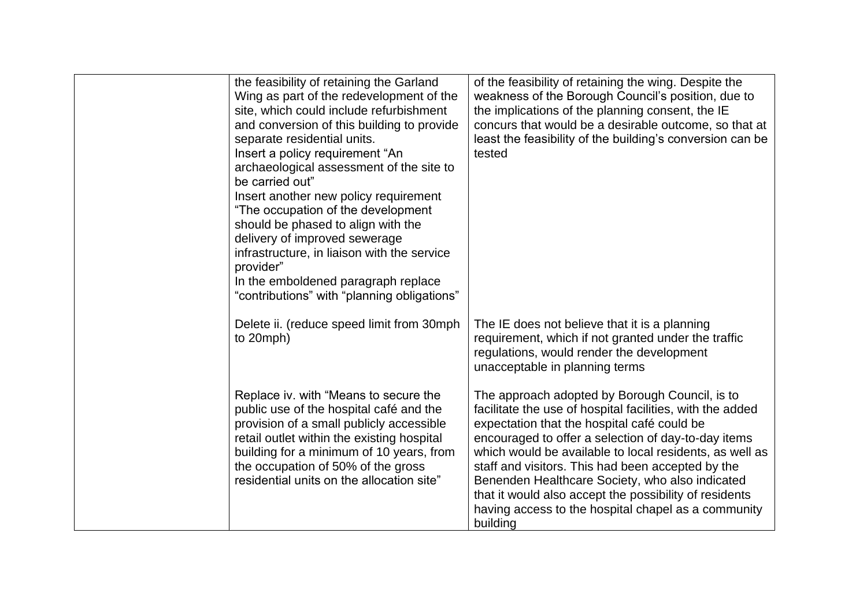| the feasibility of retaining the Garland<br>Wing as part of the redevelopment of the<br>site, which could include refurbishment<br>and conversion of this building to provide<br>separate residential units.<br>Insert a policy requirement "An<br>archaeological assessment of the site to<br>be carried out"<br>Insert another new policy requirement<br>"The occupation of the development<br>should be phased to align with the<br>delivery of improved sewerage<br>infrastructure, in liaison with the service<br>provider"<br>In the emboldened paragraph replace<br>"contributions" with "planning obligations" | of the feasibility of retaining the wing. Despite the<br>weakness of the Borough Council's position, due to<br>the implications of the planning consent, the IE<br>concurs that would be a desirable outcome, so that at<br>least the feasibility of the building's conversion can be<br>tested                                                                                                                                                                                                                   |
|------------------------------------------------------------------------------------------------------------------------------------------------------------------------------------------------------------------------------------------------------------------------------------------------------------------------------------------------------------------------------------------------------------------------------------------------------------------------------------------------------------------------------------------------------------------------------------------------------------------------|-------------------------------------------------------------------------------------------------------------------------------------------------------------------------------------------------------------------------------------------------------------------------------------------------------------------------------------------------------------------------------------------------------------------------------------------------------------------------------------------------------------------|
| Delete ii. (reduce speed limit from 30mph<br>to 20mph)                                                                                                                                                                                                                                                                                                                                                                                                                                                                                                                                                                 | The IE does not believe that it is a planning<br>requirement, which if not granted under the traffic<br>regulations, would render the development<br>unacceptable in planning terms                                                                                                                                                                                                                                                                                                                               |
| Replace iv. with "Means to secure the<br>public use of the hospital café and the<br>provision of a small publicly accessible<br>retail outlet within the existing hospital<br>building for a minimum of 10 years, from<br>the occupation of 50% of the gross<br>residential units on the allocation site"                                                                                                                                                                                                                                                                                                              | The approach adopted by Borough Council, is to<br>facilitate the use of hospital facilities, with the added<br>expectation that the hospital café could be<br>encouraged to offer a selection of day-to-day items<br>which would be available to local residents, as well as<br>staff and visitors. This had been accepted by the<br>Benenden Healthcare Society, who also indicated<br>that it would also accept the possibility of residents<br>having access to the hospital chapel as a community<br>building |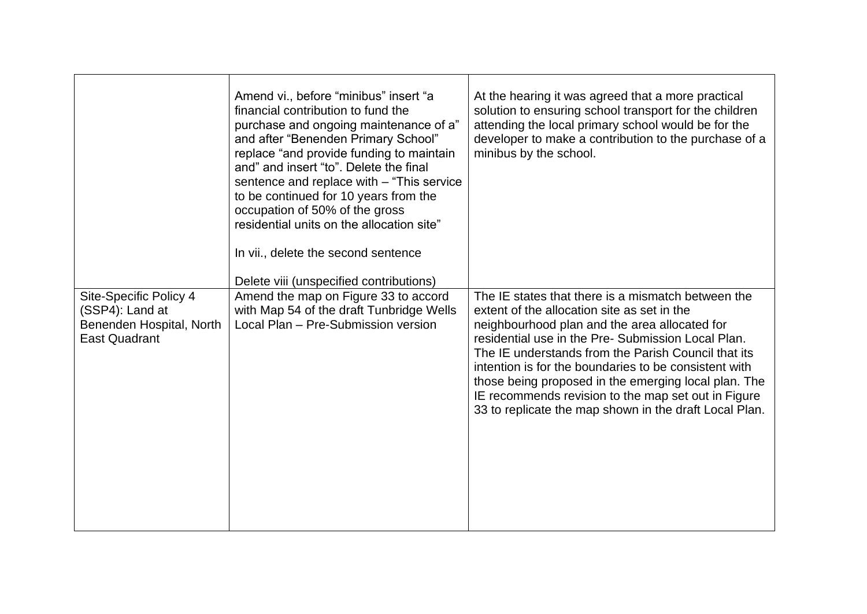|                                                                                               | Amend vi., before "minibus" insert "a<br>financial contribution to fund the<br>purchase and ongoing maintenance of a"<br>and after "Benenden Primary School"<br>replace "and provide funding to maintain<br>and" and insert "to". Delete the final<br>sentence and replace with - "This service"<br>to be continued for 10 years from the<br>occupation of 50% of the gross<br>residential units on the allocation site"<br>In vii., delete the second sentence<br>Delete viii (unspecified contributions) | At the hearing it was agreed that a more practical<br>solution to ensuring school transport for the children<br>attending the local primary school would be for the<br>developer to make a contribution to the purchase of a<br>minibus by the school.                                                                                                                                                                                                                                            |
|-----------------------------------------------------------------------------------------------|------------------------------------------------------------------------------------------------------------------------------------------------------------------------------------------------------------------------------------------------------------------------------------------------------------------------------------------------------------------------------------------------------------------------------------------------------------------------------------------------------------|---------------------------------------------------------------------------------------------------------------------------------------------------------------------------------------------------------------------------------------------------------------------------------------------------------------------------------------------------------------------------------------------------------------------------------------------------------------------------------------------------|
| Site-Specific Policy 4<br>(SSP4): Land at<br>Benenden Hospital, North<br><b>East Quadrant</b> | Amend the map on Figure 33 to accord<br>with Map 54 of the draft Tunbridge Wells<br>Local Plan - Pre-Submission version                                                                                                                                                                                                                                                                                                                                                                                    | The IE states that there is a mismatch between the<br>extent of the allocation site as set in the<br>neighbourhood plan and the area allocated for<br>residential use in the Pre- Submission Local Plan.<br>The IE understands from the Parish Council that its<br>intention is for the boundaries to be consistent with<br>those being proposed in the emerging local plan. The<br>IE recommends revision to the map set out in Figure<br>33 to replicate the map shown in the draft Local Plan. |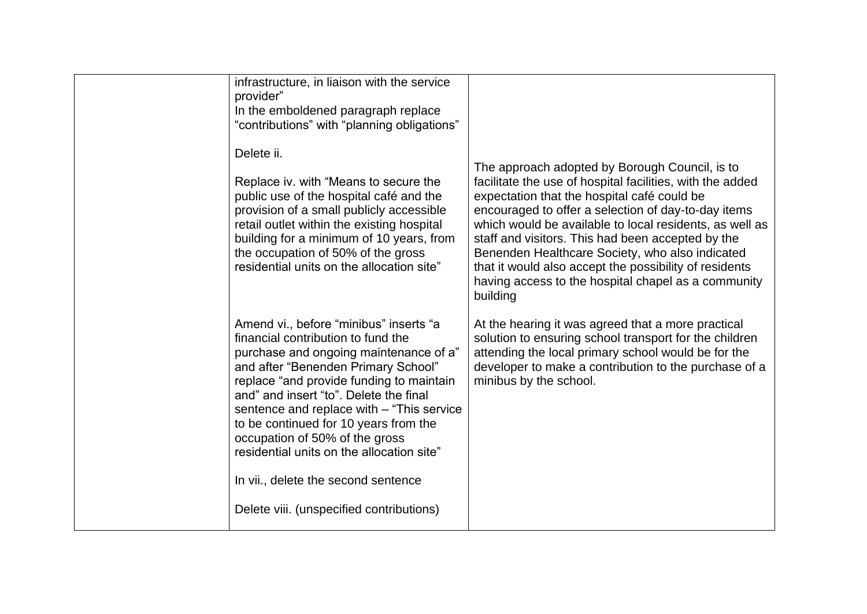| infrastructure, in liaison with the service<br>provider"<br>In the emboldened paragraph replace<br>"contributions" with "planning obligations"                                                                                                                                                                                                                                                                                                                                                               |                                                                                                                                                                                                                                                                                                                                                                                                                                                                                                                   |
|--------------------------------------------------------------------------------------------------------------------------------------------------------------------------------------------------------------------------------------------------------------------------------------------------------------------------------------------------------------------------------------------------------------------------------------------------------------------------------------------------------------|-------------------------------------------------------------------------------------------------------------------------------------------------------------------------------------------------------------------------------------------------------------------------------------------------------------------------------------------------------------------------------------------------------------------------------------------------------------------------------------------------------------------|
| Delete ii.<br>Replace iv. with "Means to secure the<br>public use of the hospital café and the<br>provision of a small publicly accessible<br>retail outlet within the existing hospital<br>building for a minimum of 10 years, from<br>the occupation of 50% of the gross<br>residential units on the allocation site"                                                                                                                                                                                      | The approach adopted by Borough Council, is to<br>facilitate the use of hospital facilities, with the added<br>expectation that the hospital café could be<br>encouraged to offer a selection of day-to-day items<br>which would be available to local residents, as well as<br>staff and visitors. This had been accepted by the<br>Benenden Healthcare Society, who also indicated<br>that it would also accept the possibility of residents<br>having access to the hospital chapel as a community<br>building |
| Amend vi., before "minibus" inserts "a<br>financial contribution to fund the<br>purchase and ongoing maintenance of a"<br>and after "Benenden Primary School"<br>replace "and provide funding to maintain<br>and" and insert "to". Delete the final<br>sentence and replace with - "This service"<br>to be continued for 10 years from the<br>occupation of 50% of the gross<br>residential units on the allocation site"<br>In vii., delete the second sentence<br>Delete viii. (unspecified contributions) | At the hearing it was agreed that a more practical<br>solution to ensuring school transport for the children<br>attending the local primary school would be for the<br>developer to make a contribution to the purchase of a<br>minibus by the school.                                                                                                                                                                                                                                                            |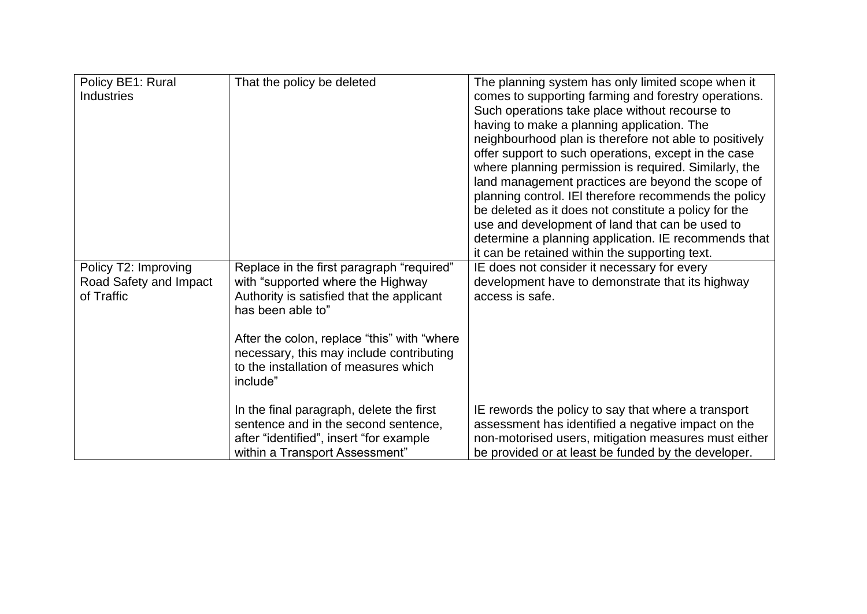| Policy BE1: Rural      | That the policy be deleted                   | The planning system has only limited scope when it     |
|------------------------|----------------------------------------------|--------------------------------------------------------|
| <b>Industries</b>      |                                              | comes to supporting farming and forestry operations.   |
|                        |                                              | Such operations take place without recourse to         |
|                        |                                              | having to make a planning application. The             |
|                        |                                              | neighbourhood plan is therefore not able to positively |
|                        |                                              | offer support to such operations, except in the case   |
|                        |                                              | where planning permission is required. Similarly, the  |
|                        |                                              | land management practices are beyond the scope of      |
|                        |                                              | planning control. IEI therefore recommends the policy  |
|                        |                                              | be deleted as it does not constitute a policy for the  |
|                        |                                              | use and development of land that can be used to        |
|                        |                                              | determine a planning application. IE recommends that   |
|                        |                                              | it can be retained within the supporting text.         |
|                        |                                              |                                                        |
| Policy T2: Improving   | Replace in the first paragraph "required"    | IE does not consider it necessary for every            |
| Road Safety and Impact | with "supported where the Highway            | development have to demonstrate that its highway       |
| of Traffic             | Authority is satisfied that the applicant    | access is safe.                                        |
|                        | has been able to"                            |                                                        |
|                        |                                              |                                                        |
|                        | After the colon, replace "this" with "where" |                                                        |
|                        | necessary, this may include contributing     |                                                        |
|                        | to the installation of measures which        |                                                        |
|                        | include"                                     |                                                        |
|                        |                                              |                                                        |
|                        | In the final paragraph, delete the first     | IE rewords the policy to say that where a transport    |
|                        | sentence and in the second sentence,         | assessment has identified a negative impact on the     |
|                        | after "identified", insert "for example      | non-motorised users, mitigation measures must either   |
|                        | within a Transport Assessment"               | be provided or at least be funded by the developer.    |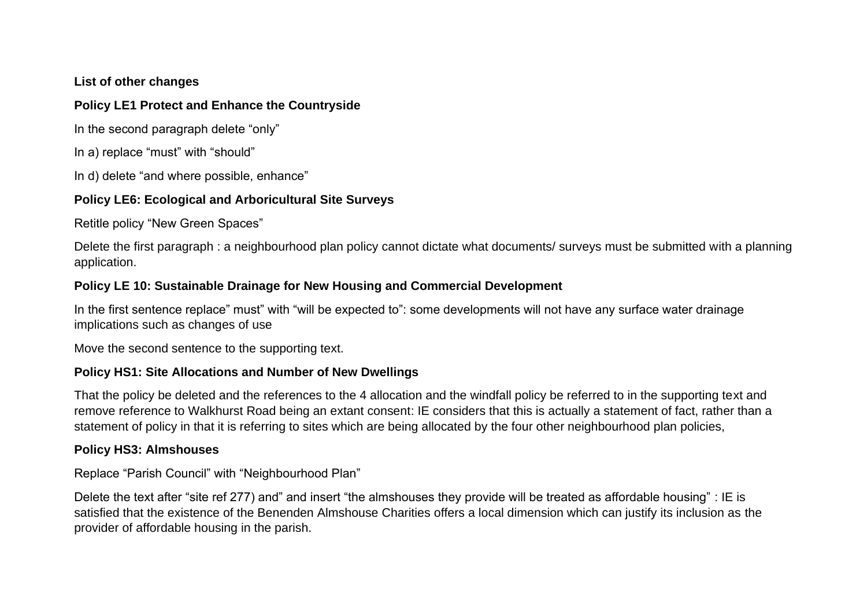#### **List of other changes**

#### **Policy LE1 Protect and Enhance the Countryside**

In the second paragraph delete "only"

In a) replace "must" with "should"

In d) delete "and where possible, enhance"

### **Policy LE6: Ecological and Arboricultural Site Surveys**

Retitle policy "New Green Spaces"

Delete the first paragraph : a neighbourhood plan policy cannot dictate what documents/ surveys must be submitted with a planning application.

# **Policy LE 10: Sustainable Drainage for New Housing and Commercial Development**

In the first sentence replace" must" with "will be expected to": some developments will not have any surface water drainage implications such as changes of use

Move the second sentence to the supporting text.

### **Policy HS1: Site Allocations and Number of New Dwellings**

That the policy be deleted and the references to the 4 allocation and the windfall policy be referred to in the supporting text and remove reference to Walkhurst Road being an extant consent: IE considers that this is actually a statement of fact, rather than a statement of policy in that it is referring to sites which are being allocated by the four other neighbourhood plan policies,

### **Policy HS3: Almshouses**

Replace "Parish Council" with "Neighbourhood Plan"

Delete the text after "site ref 277) and" and insert "the almshouses they provide will be treated as affordable housing" : IE is satisfied that the existence of the Benenden Almshouse Charities offers a local dimension which can justify its inclusion as the provider of affordable housing in the parish.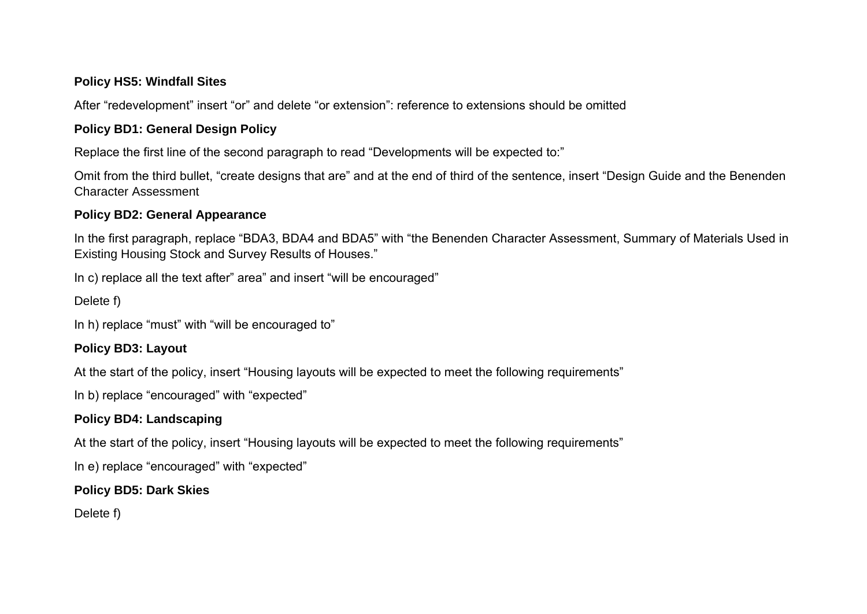#### **Policy HS5: Windfall Sites**

After "redevelopment" insert "or" and delete "or extension": reference to extensions should be omitted

# **Policy BD1: General Design Policy**

Replace the first line of the second paragraph to read "Developments will be expected to:"

Omit from the third bullet, "create designs that are" and at the end of third of the sentence, insert "Design Guide and the Benenden Character Assessment

# **Policy BD2: General Appearance**

In the first paragraph, replace "BDA3, BDA4 and BDA5" with "the Benenden Character Assessment, Summary of Materials Used in Existing Housing Stock and Survey Results of Houses."

In c) replace all the text after" area" and insert "will be encouraged"

Delete f)

In h) replace "must" with "will be encouraged to"

# **Policy BD3: Layout**

At the start of the policy, insert "Housing layouts will be expected to meet the following requirements"

In b) replace "encouraged" with "expected"

# **Policy BD4: Landscaping**

At the start of the policy, insert "Housing layouts will be expected to meet the following requirements"

In e) replace "encouraged" with "expected"

# **Policy BD5: Dark Skies**

Delete f)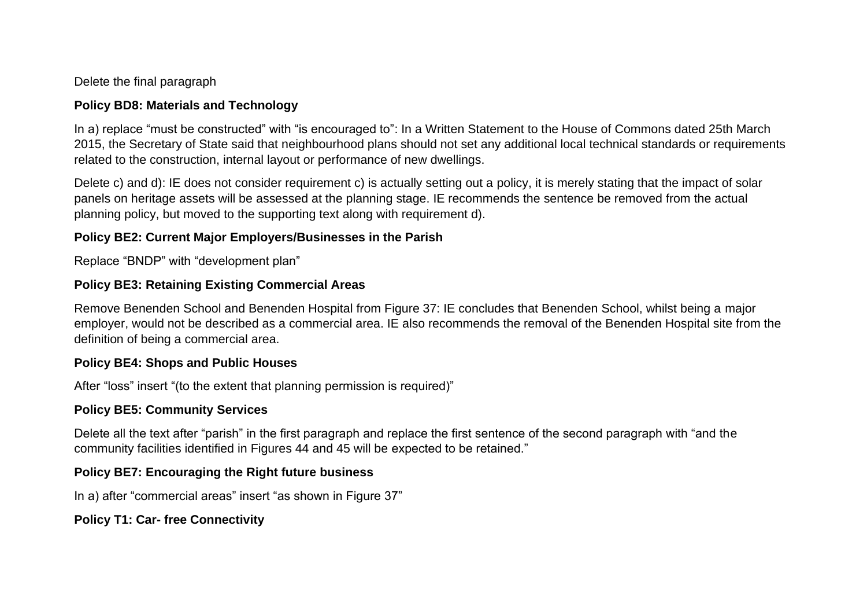Delete the final paragraph

### **Policy BD8: Materials and Technology**

In a) replace "must be constructed" with "is encouraged to": In a Written Statement to the House of Commons dated 25th March 2015, the Secretary of State said that neighbourhood plans should not set any additional local technical standards or requirements related to the construction, internal layout or performance of new dwellings.

Delete c) and d): IE does not consider requirement c) is actually setting out a policy, it is merely stating that the impact of solar panels on heritage assets will be assessed at the planning stage. IE recommends the sentence be removed from the actual planning policy, but moved to the supporting text along with requirement d).

# **Policy BE2: Current Major Employers/Businesses in the Parish**

Replace "BNDP" with "development plan"

# **Policy BE3: Retaining Existing Commercial Areas**

Remove Benenden School and Benenden Hospital from Figure 37: IE concludes that Benenden School, whilst being a major employer, would not be described as a commercial area. IE also recommends the removal of the Benenden Hospital site from the definition of being a commercial area.

### **Policy BE4: Shops and Public Houses**

After "loss" insert "(to the extent that planning permission is required)"

### **Policy BE5: Community Services**

Delete all the text after "parish" in the first paragraph and replace the first sentence of the second paragraph with "and the community facilities identified in Figures 44 and 45 will be expected to be retained."

# **Policy BE7: Encouraging the Right future business**

In a) after "commercial areas" insert "as shown in Figure 37"

# **Policy T1: Car- free Connectivity**